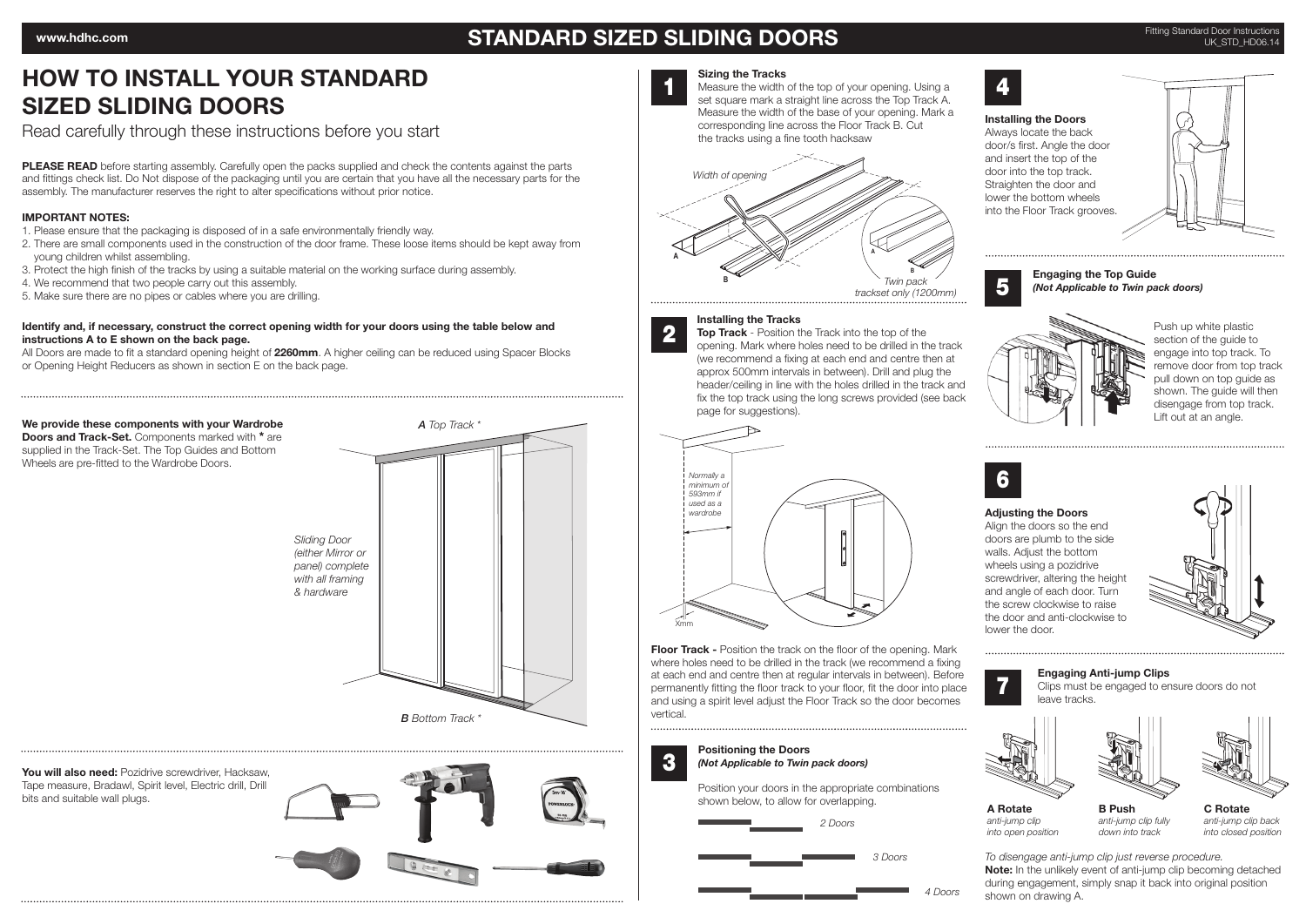## STANDARD SIZED SLIDING DOORS

# HOW TO INSTALL YOUR STANDARD SIZED SLIDING DOORS

Read carefully through these instructions before you start

PLEASE READ before starting assembly. Carefully open the packs supplied and check the contents against the parts and fittings check list. Do Not dispose of the packaging until you are certain that you have all the necessary parts for the assembly. The manufacturer reserves the right to alter specifications without prior notice.

### IMPORTANT NOTES:

- 1. Please ensure that the packaging is disposed of in a safe environmentally friendly way.
- 2. There are small components used in the construction of the door frame. These loose items should be kept away from young children whilst assembling.
- 3. Protect the high finish of the tracks by using a suitable material on the working surface during assembly.
- 4. We recommend that two people carry out this assembly.
- 5. Make sure there are no pipes or cables where you are drilling.

#### Identify and, if necessary, construct the correct opening width for your doors using the table below and instructions A to E shown on the back page.

All Doors are made to fit a standard opening height of 2260mm. A higher ceiling can be reduced using Spacer Blocks or Opening Height Reducers as shown in section E on the back page.

We provide these components with your Wardrobe Doors and Track-Set. Components marked with \* are supplied in the Track-Set. The Top Guides and Bottom Wheels are pre-fitted to the Wardrobe Doors.



*A Top Track \**

You will also need: Pozidrive screwdriver, Hacksaw, Tape measure, Bradawl, Spirit level, Electric drill, Drill bits and suitable wall plugs.



### Sizing the Tracks

Measure the width of the top of your opening. Using a **14** set square mark a straight line across the Top Track A. Measure the width of the base of your opening. Mark a **A** corresponding line across the Floor Track B. Cut the tracks using a fine tooth hacksaw **B**





5

Installing the Doors

#### Engaging the Top Guide *(Not Applicable to Twin pack doors)*



Push up white plastic section of the guide to engage into top track. To remove door from top track pull down on top guide as shown. The guide will then disengage from top track. Lift out at an angle.



7

A Rotate *anti-jump clip*

#### Adjusting the Doors

Align the doors so the end doors are plumb to the side walls. Adjust the bottom wheels using a pozidrive screwdriver, altering the height and angle of each door. Turn the screw clockwise to raise the door and anti-clockwise to lower the door.



**Floor Track - Position the track on the floor of the opening. Mark** where holes need to be drilled in the track (we recommend a fixing at each end and centre then at regular intervals in between). Before permanently fitting the floor track to your floor, fit the door into place and using a spirit level adjust the Floor Track so the door becomes vertical.

#### Positioning the Doors *(Not Applicable to Twin pack doors)*

3

Xmm

M M

Position your doors in the appropriate combinations shown below, to allow for overlapping.



*3 Doors*

*4 Doors*



Clips must be engaged to ensure doors do not

Engaging Anti-jump Clips



*into open position* B Push *anti-jump clip fully down into track*

C Rotate *anti-jump clip back into closed position*

To disengage anti-jump clip just reverse procedure. Note: In the unlikely event of anti-jump clip becoming detached during engagement, simply snap it back into original position shown on drawing A.





*Normally a minimum of 593mm if used as a wardrobe*

Top Track - Position the Track into the top of the opening. Mark where holes need to be drilled in the track (we recommend a fixing at each end and centre then at approx 500mm intervals in between). Drill and plug the header/ceiling in line with the holes drilled in the track and fix the top track using the long screws provided (see back page for suggestions).